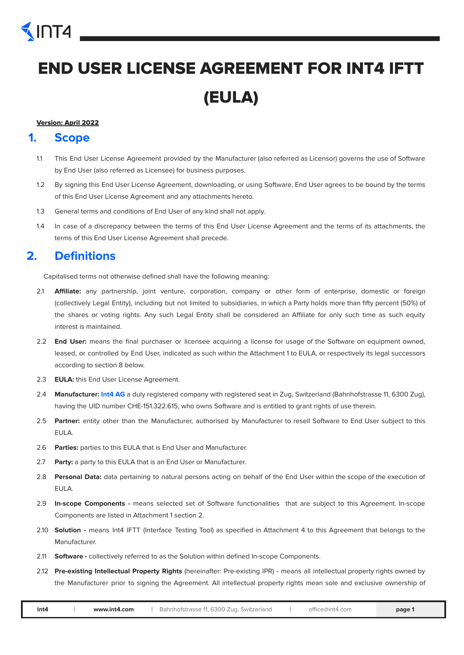# INT4

## END USER LICENSE AGREEMENT FOR INT4 IFTT (EULA)

#### Version: April 2022

#### **1. Scope**

- 1.1 This End User License Agreement provided by the Manufacturer (also referred as Licensor) governs the use of Software by End User (also referred as Licensee) for business purposes.
- 1.2 By signing this End User License Agreement, downloading, or using Software, End User agrees to be bound by the terms of this End User License Agreement and any attachments hereto.
- 1.3 General terms and conditions of End User of any kind shall not apply.
- 1.4 In case of a discrepancy between the terms of this End User License Agreement and the terms of its attachments, the terms of this End User License Agreement shall precede.

### **2. Definitions**

Capitalised terms not otherwise defined shall have the following meaning:

- 2.1 **Affiliate:** any partnership, joint venture, corporation, company or other form of enterprise, domestic or foreign (collectively Legal Entity), including but not limited to subsidiaries, in which a Party holds more than fifty percent (50%) of the shares or voting rights. Any such Legal Entity shall be considered an Affiliate for only such time as such equity interest is maintained.
- 2.2 **End User:** means the final purchaser or licensee acquiring a license for usage of the Software on equipment owned, leased, or controlled by End User, indicated as such within the Attachment 1 to EULA, or respectively its legal successors according to section 8 below.
- 2.3 **EULA:** this End User License Agreement.
- 2.4 **Manufacturer: Int4 AG** a duly registered company with registered seat in Zug, Switzerland (Bahnhofstrasse 11, 6300 Zug), having the UID number CHE-151.322.615, who owns Software and is entitled to grant rights of use therein.
- 2.5 **Partner:** entity other than the Manufacturer, authorised by Manufacturer to resell Software to End User subject to this EULA.
- 2.6 **Parties:** parties to this EULA that is End User and Manufacturer.
- 2.7 **Party:** a party to this EULA that is an End User or Manufacturer.
- 2.8 **Personal Data:** data pertaining to natural persons acting on behalf of the End User within the scope of the execution of EULA.
- 2.9 **In-scope Components -** means selected set of Software functionalities that are subject to this Agreement. In-scope Components are listed in Attachment 1 section 2.
- 2.10 **Solution -** means Int4 IFTT (Interface Testing Tool) as specified in Attachment 4 to this Agreement that belongs to the Manufacturer.
- 2.11 **Software -** collectively referred to as the Solution within defined In-scope Components.
- 2.12 **Pre-existing Intellectual Property Rights** (hereinafter: Pre-existing IPR) means all intellectual property rights owned by the Manufacturer prior to signing the Agreement. All intellectual property rights mean sole and exclusive ownership of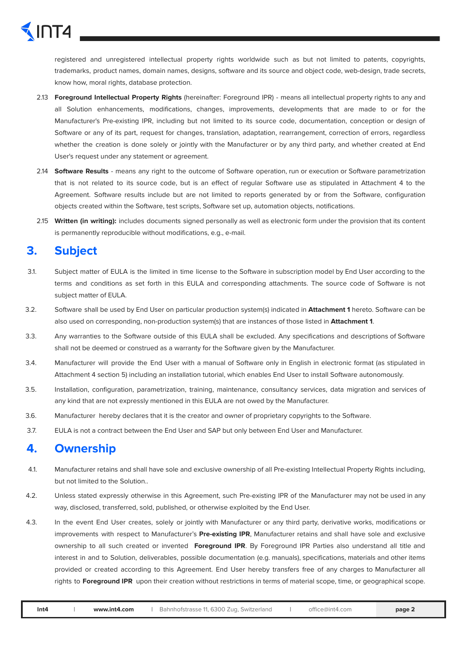registered and unregistered intellectual property rights worldwide such as but not limited to patents, copyrights, trademarks, product names, domain names, designs, software and its source and object code, web-design, trade secrets, know how, moral rights, database protection.

- 2.13 **Foreground Intellectual Property Rights** (hereinafter: Foreground IPR) means all intellectual property rights to any and all Solution enhancements, modifications, changes, improvements, developments that are made to or for the Manufacturer's Pre-existing IPR, including but not limited to its source code, documentation, conception or design of Software or any of its part, request for changes, translation, adaptation, rearrangement, correction of errors, regardless whether the creation is done solely or jointly with the Manufacturer or by any third party, and whether created at End User's request under any statement or agreement.
- 2.14 **Software Results** means any right to the outcome of Software operation, run or execution or Software parametrization that is not related to its source code, but is an effect of regular Software use as stipulated in Attachment 4 to the Agreement. Software results include but are not limited to reports generated by or from the Software, configuration objects created within the Software, test scripts, Software set up, automation objects, notifications.
- 2.15 **Written (in writing):** includes documents signed personally as well as electronic form under the provision that its content is permanently reproducible without modifications, e.g., e-mail.

#### **3. Subject**

- 3.1. Subject matter of EULA is the limited in time license to the Software in subscription model by End User according to the terms and conditions as set forth in this EULA and corresponding attachments. The source code of Software is not subject matter of EULA.
- 3.2. Software shall be used by End User on particular production system(s) indicated in **Attachment 1** hereto. Software can be also used on corresponding, non-production system(s) that are instances of those listed in **Attachment 1**.
- 3.3. Any warranties to the Software outside of this EULA shall be excluded. Any specifications and descriptions of Software shall not be deemed or construed as a warranty for the Software given by the Manufacturer.
- 3.4. Manufacturer will provide the End User with a manual of Software only in English in electronic format (as stipulated in Attachment 4 section 5) including an installation tutorial, which enables End User to install Software autonomously.
- 3.5. Installation, configuration, parametrization, training, maintenance, consultancy services, data migration and services of any kind that are not expressly mentioned in this EULA are not owed by the Manufacturer.
- 3.6. Manufacturer hereby declares that it is the creator and owner of proprietary copyrights to the Software.
- 3.7. EULA is not a contract between the End User and SAP but only between End User and Manufacturer.

#### **4. Ownership**

- 4.1. Manufacturer retains and shall have sole and exclusive ownership of all Pre-existing Intellectual Property Rights including, but not limited to the Solution..
- 4.2. Unless stated expressly otherwise in this Agreement, such Pre-existing IPR of the Manufacturer may not be used in any way, disclosed, transferred, sold, published, or otherwise exploited by the End User.
- 4.3. In the event End User creates, solely or jointly with Manufacturer or any third party, derivative works, modifications or improvements with respect to Manufacturer's **Pre-existing IPR**, Manufacturer retains and shall have sole and exclusive ownership to all such created or invented **Foreground IPR**. By Foreground IPR Parties also understand all title and interest in and to Solution, deliverables, possible documentation (e.g. manuals), specifications, materials and other items provided or created according to this Agreement. End User hereby transfers free of any charges to Manufacturer all rights to **Foreground IPR** upon their creation without restrictions in terms of material scope, time, or geographical scope.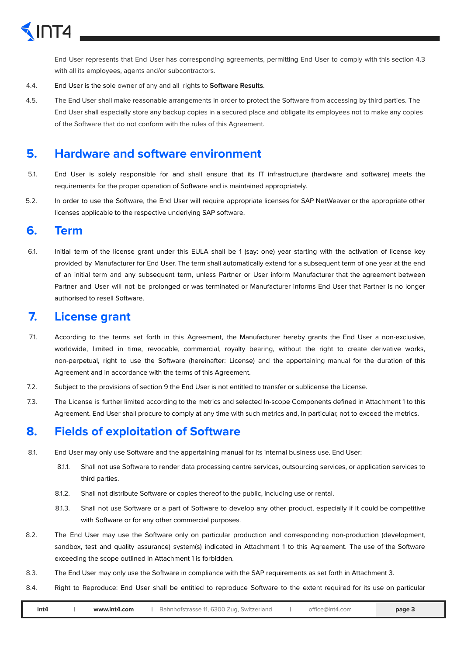

End User represents that End User has corresponding agreements, permitting End User to comply with this section 4.3 with all its employees, agents and/or subcontractors.

- 4.4. End User is the sole owner of any and all rights to **Software Results**.
- 4.5. The End User shall make reasonable arrangements in order to protect the Software from accessing by third parties. The End User shall especially store any backup copies in a secured place and obligate its employees not to make any copies of the Software that do not conform with the rules of this Agreement.

#### **5. Hardware and software environment**

- 5.1. End User is solely responsible for and shall ensure that its IT infrastructure (hardware and software) meets the requirements for the proper operation of Software and is maintained appropriately.
- 5.2. In order to use the Software, the End User will require appropriate licenses for SAP NetWeaver or the appropriate other licenses applicable to the respective underlying SAP software.

#### **6. Term**

6.1. Initial term of the license grant under this EULA shall be 1 (say: one) year starting with the activation of license key provided by Manufacturer for End User. The term shall automatically extend for a subsequent term of one year at the end of an initial term and any subsequent term, unless Partner or User inform Manufacturer that the agreement between Partner and User will not be prolonged or was terminated or Manufacturer informs End User that Partner is no longer authorised to resell Software.

#### **7. License grant**

- 7.1. According to the terms set forth in this Agreement, the Manufacturer hereby grants the End User a non-exclusive, worldwide, limited in time, revocable, commercial, royalty bearing, without the right to create derivative works, non-perpetual, right to use the Software (hereinafter: License) and the appertaining manual for the duration of this Agreement and in accordance with the terms of this Agreement.
- 7.2. Subject to the provisions of section 9 the End User is not entitled to transfer or sublicense the License.
- 7.3. The License is further limited according to the metrics and selected In-scope Components defined in Attachment 1 to this Agreement. End User shall procure to comply at any time with such metrics and, in particular, not to exceed the metrics.

#### **8. Fields of exploitation of Software**

- 8.1. End User may only use Software and the appertaining manual for its internal business use. End User:
	- 8.1.1. Shall not use Software to render data processing centre services, outsourcing services, or application services to third parties.
	- 8.1.2. Shall not distribute Software or copies thereof to the public, including use or rental.
	- 8.1.3. Shall not use Software or a part of Software to develop any other product, especially if it could be competitive with Software or for any other commercial purposes.
- 8.2. The End User may use the Software only on particular production and corresponding non-production (development, sandbox, test and quality assurance) system(s) indicated in Attachment 1 to this Agreement. The use of the Software exceeding the scope outlined in Attachment 1 is forbidden.
- 8.3. The End User may only use the Software in compliance with the SAP requirements as set forth in Attachment 3.
- 8.4. Right to Reproduce: End User shall be entitled to reproduce Software to the extent required for its use on particular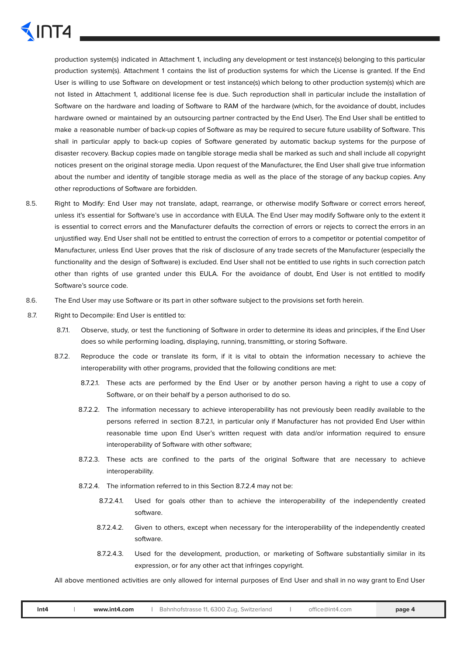production system(s) indicated in Attachment 1, including any development or test instance(s) belonging to this particular production system(s). Attachment 1 contains the list of production systems for which the License is granted. If the End User is willing to use Software on development or test instance(s) which belong to other production system(s) which are not listed in Attachment 1, additional license fee is due. Such reproduction shall in particular include the installation of Software on the hardware and loading of Software to RAM of the hardware (which, for the avoidance of doubt, includes hardware owned or maintained by an outsourcing partner contracted by the End User). The End User shall be entitled to make a reasonable number of back-up copies of Software as may be required to secure future usability of Software. This shall in particular apply to back-up copies of Software generated by automatic backup systems for the purpose of disaster recovery. Backup copies made on tangible storage media shall be marked as such and shall include all copyright notices present on the original storage media. Upon request of the Manufacturer, the End User shall give true information about the number and identity of tangible storage media as well as the place of the storage of any backup copies. Any other reproductions of Software are forbidden.

- 8.5. Right to Modify: End User may not translate, adapt, rearrange, or otherwise modify Software or correct errors hereof, unless it's essential for Software's use in accordance with EULA. The End User may modify Software only to the extent it is essential to correct errors and the Manufacturer defaults the correction of errors or rejects to correct the errors in an unjustified way. End User shall not be entitled to entrust the correction of errors to a competitor or potential competitor of Manufacturer, unless End User proves that the risk of disclosure of any trade secrets of the Manufacturer (especially the functionality and the design of Software) is excluded. End User shall not be entitled to use rights in such correction patch other than rights of use granted under this EULA. For the avoidance of doubt, End User is not entitled to modify Software's source code.
- 8.6. The End User may use Software or its part in other software subject to the provisions set forth herein.
- 8.7. Right to Decompile: End User is entitled to:
	- 8.7.1. Observe, study, or test the functioning of Software in order to determine its ideas and principles, if the End User does so while performing loading, displaying, running, transmitting, or storing Software.
	- 8.7.2. Reproduce the code or translate its form, if it is vital to obtain the information necessary to achieve the interoperability with other programs, provided that the following conditions are met:
		- 8.7.2.1. These acts are performed by the End User or by another person having a right to use a copy of Software, or on their behalf by a person authorised to do so.
		- 8.7.2.2. The information necessary to achieve interoperability has not previously been readily available to the persons referred in section 8.7.2.1, in particular only if Manufacturer has not provided End User within reasonable time upon End User's written request with data and/or information required to ensure interoperability of Software with other software;
		- 8.7.2.3. These acts are confined to the parts of the original Software that are necessary to achieve interoperability.
		- 8.7.2.4. The information referred to in this Section 8.7.2.4 may not be:
			- 8.7.2.4.1. Used for goals other than to achieve the interoperability of the independently created software.
			- 8.7.2.4.2. Given to others, except when necessary for the interoperability of the independently created software.
			- 8.7.2.4.3. Used for the development, production, or marketing of Software substantially similar in its expression, or for any other act that infringes copyright.

All above mentioned activities are only allowed for internal purposes of End User and shall in no way grant to End User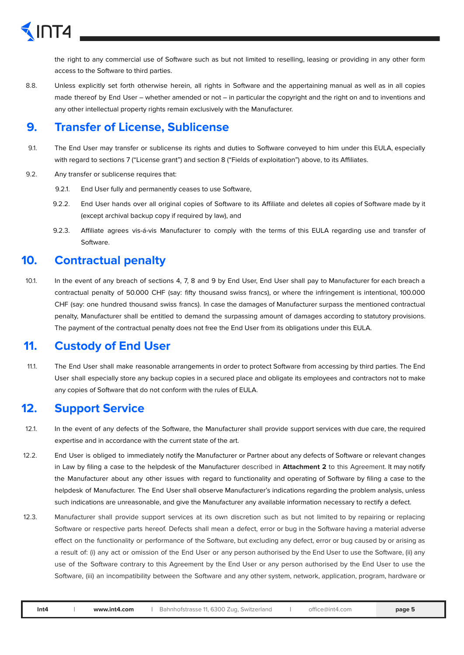the right to any commercial use of Software such as but not limited to reselling, leasing or providing in any other form access to the Software to third parties.

8.8. Unless explicitly set forth otherwise herein, all rights in Software and the appertaining manual as well as in all copies made thereof by End User – whether amended or not – in particular the copyright and the right on and to inventions and any other intellectual property rights remain exclusively with the Manufacturer.

#### **9. Transfer of License, Sublicense**

- 9.1. The End User may transfer or sublicense its rights and duties to Software conveyed to him under this EULA, especially with regard to sections 7 ("License grant") and section 8 ("Fields of exploitation") above, to its Affiliates.
- 9.2. Any transfer or sublicense requires that:
	- 9.2.1. End User fully and permanently ceases to use Software,
	- 9.2.2. End User hands over all original copies of Software to its Affiliate and deletes all copies of Software made by it (except archival backup copy if required by law), and
	- 9.2.3. Affiliate agrees vis-á-vis Manufacturer to comply with the terms of this EULA regarding use and transfer of Software.

#### **10. Contractual penalty**

10.1. In the event of any breach of sections 4, 7, 8 and 9 by End User, End User shall pay to Manufacturer for each breach a contractual penalty of 50.000 CHF (say: fifty thousand swiss francs), or where the infringement is intentional, 100.000 CHF (say: one hundred thousand swiss francs). In case the damages of Manufacturer surpass the mentioned contractual penalty, Manufacturer shall be entitled to demand the surpassing amount of damages according to statutory provisions. The payment of the contractual penalty does not free the End User from its obligations under this EULA.

#### **11. Custody of End User**

11.1. The End User shall make reasonable arrangements in order to protect Software from accessing by third parties. The End User shall especially store any backup copies in a secured place and obligate its employees and contractors not to make any copies of Software that do not conform with the rules of EULA.

#### **12. Support Service**

- 12.1. In the event of any defects of the Software, the Manufacturer shall provide support services with due care, the required expertise and in accordance with the current state of the art.
- 12.2. End User is obliged to immediately notify the Manufacturer or Partner about any defects of Software or relevant changes in Law by filing a case to the helpdesk of the Manufacturer described in **Attachment 2** to this Agreement. It may notify the Manufacturer about any other issues with regard to functionality and operating of Software by filing a case to the helpdesk of Manufacturer. The End User shall observe Manufacturer's indications regarding the problem analysis, unless such indications are unreasonable, and give the Manufacturer any available information necessary to rectify a defect.
- 12.3. Manufacturer shall provide support services at its own discretion such as but not limited to by repairing or replacing Software or respective parts hereof. Defects shall mean a defect, error or bug in the Software having a material adverse effect on the functionality or performance of the Software, but excluding any defect, error or bug caused by or arising as a result of: (i) any act or omission of the End User or any person authorised by the End User to use the Software, (ii) any use of the Software contrary to this Agreement by the End User or any person authorised by the End User to use the Software, (iii) an incompatibility between the Software and any other system, network, application, program, hardware or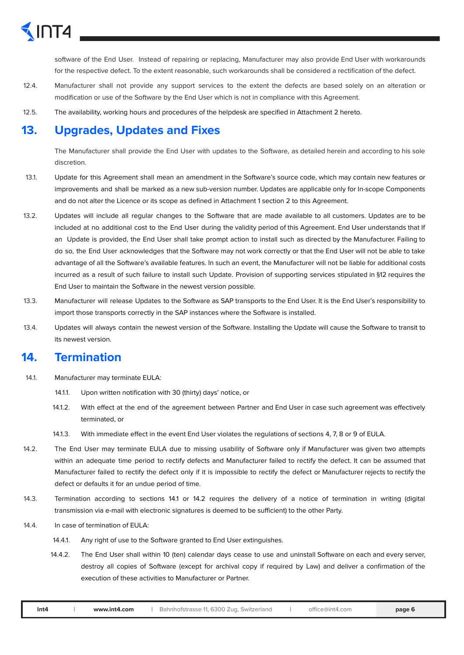software of the End User. Instead of repairing or replacing, Manufacturer may also provide End User with workarounds for the respective defect. To the extent reasonable, such workarounds shall be considered a rectification of the defect.

- 12.4. Manufacturer shall not provide any support services to the extent the defects are based solely on an alteration or modification or use of the Software by the End User which is not in compliance with this Agreement.
- 12.5. The availability, working hours and procedures of the helpdesk are specified in Attachment 2 hereto.

#### **13. Upgrades, Updates and Fixes**

The Manufacturer shall provide the End User with updates to the Software, as detailed herein and according to his sole discretion.

- 13.1. Update for this Agreement shall mean an amendment in the Software's source code, which may contain new features or improvements and shall be marked as a new sub-version number. Updates are applicable only for In-scope Components and do not alter the Licence or its scope as defined in Attachment 1 section 2 to this Agreement.
- 13.2. Updates will include all regular changes to the Software that are made available to all customers. Updates are to be included at no additional cost to the End User during the validity period of this Agreement. End User understands that If an Update is provided, the End User shall take prompt action to install such as directed by the Manufacturer. Failing to do so, the End User acknowledges that the Software may not work correctly or that the End User will not be able to take advantage of all the Software's available features. In such an event, the Manufacturer will not be liable for additional costs incurred as a result of such failure to install such Update. Provision of supporting services stipulated in §12 requires the End User to maintain the Software in the newest version possible.
- 13.3. Manufacturer will release Updates to the Software as SAP transports to the End User. It is the End User's responsibility to import those transports correctly in the SAP instances where the Software is installed.
- 13.4. Updates will always contain the newest version of the Software. Installing the Update will cause the Software to transit to its newest version.

#### **14. Termination**

- 14.1. Manufacturer may terminate EULA:
	- 14.1.1. Upon written notification with 30 (thirty) days' notice, or
	- 14.1.2. With effect at the end of the agreement between Partner and End User in case such agreement was effectively terminated, or
	- 14.1.3. With immediate effect in the event End User violates the regulations of sections 4, 7, 8 or 9 of EULA.
- 14.2. The End User may terminate EULA due to missing usability of Software only if Manufacturer was given two attempts within an adequate time period to rectify defects and Manufacturer failed to rectify the defect. It can be assumed that Manufacturer failed to rectify the defect only if it is impossible to rectify the defect or Manufacturer rejects to rectify the defect or defaults it for an undue period of time.
- 14.3. Termination according to sections 14.1 or 14.2 requires the delivery of a notice of termination in writing (digital transmission via e-mail with electronic signatures is deemed to be sufficient) to the other Party.
- 14.4. In case of termination of EULA:
	- 14.4.1. Any right of use to the Software granted to End User extinguishes.
	- 14.4.2. The End User shall within 10 (ten) calendar days cease to use and uninstall Software on each and every server, destroy all copies of Software (except for archival copy if required by Law) and deliver a confirmation of the execution of these activities to Manufacturer or Partner.
	- **Int4 | [www.int4.com](http://www.int4.com) |** Bahnhofstrasse 11, 6300 Zug, Switzerland **|** [office@int4.com](mailto:office@int4.com) **page 6**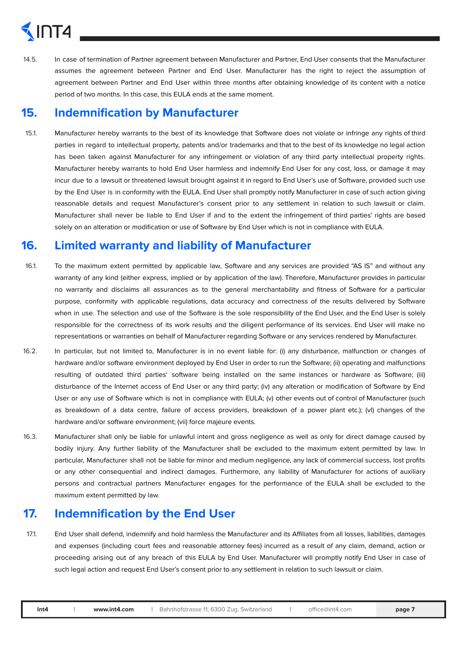# INT4

14.5. In case of termination of Partner agreement between Manufacturer and Partner, End User consents that the Manufacturer assumes the agreement between Partner and End User. Manufacturer has the right to reject the assumption of agreement between Partner and End User within three months after obtaining knowledge of its content with a notice period of two months. In this case, this EULA ends at the same moment.

#### **15. Indemnification by Manufacturer**

15.1. Manufacturer hereby warrants to the best of its knowledge that Software does not violate or infringe any rights of third parties in regard to intellectual property, patents and/or trademarks and that to the best of its knowledge no legal action has been taken against Manufacturer for any infringement or violation of any third party intellectual property rights. Manufacturer hereby warrants to hold End User harmless and indemnify End User for any cost, loss, or damage it may incur due to a lawsuit or threatened lawsuit brought against it in regard to End User's use of Software, provided such use by the End User is in conformity with the EULA. End User shall promptly notify Manufacturer in case of such action giving reasonable details and request Manufacturer's consent prior to any settlement in relation to such lawsuit or claim. Manufacturer shall never be liable to End User if and to the extent the infringement of third parties' rights are based solely on an alteration or modification or use of Software by End User which is not in compliance with EULA.

#### **16. Limited warranty and liability of Manufacturer**

- 16.1. To the maximum extent permitted by applicable law, Software and any services are provided "AS IS" and without any warranty of any kind (either express, implied or by application of the law). Therefore, Manufacturer provides in particular no warranty and disclaims all assurances as to the general merchantability and fitness of Software for a particular purpose, conformity with applicable regulations, data accuracy and correctness of the results delivered by Software when in use. The selection and use of the Software is the sole responsibility of the End User, and the End User is solely responsible for the correctness of its work results and the diligent performance of its services. End User will make no representations or warranties on behalf of Manufacturer regarding Software or any services rendered by Manufacturer.
- 16.2. In particular, but not limited to, Manufacturer is in no event liable for: (i) any disturbance, malfunction or changes of hardware and/or software environment deployed by End User in order to run the Software; (ii) operating and malfunctions resulting of outdated third parties' software being installed on the same instances or hardware as Software; (iii) disturbance of the Internet access of End User or any third party; (iv) any alteration or modification of Software by End User or any use of Software which is not in compliance with EULA; (v) other events out of control of Manufacturer (such as breakdown of a data centre, failure of access providers, breakdown of a power plant etc.); (vI) changes of the hardware and/or software environment; (vii) force majeure events.
- 16.3. Manufacturer shall only be liable for unlawful intent and gross negligence as well as only for direct damage caused by bodily injury. Any further liability of the Manufacturer shall be excluded to the maximum extent permitted by law. In particular, Manufacturer shall not be liable for minor and medium negligence, any lack of commercial success, lost profits or any other consequential and indirect damages. Furthermore, any liability of Manufacturer for actions of auxiliary persons and contractual partners Manufacturer engages for the performance of the EULA shall be excluded to the maximum extent permitted by law.

#### **17. Indemnification by the End User**

17.1. End User shall defend, indemnify and hold harmless the Manufacturer and its Affiliates from all losses, liabilities, damages and expenses (including court fees and reasonable attorney fees) incurred as a result of any claim, demand, action or proceeding arising out of any breach of this EULA by End User. Manufacturer will promptly notify End User in case of such legal action and request End User's consent prior to any settlement in relation to such lawsuit or claim.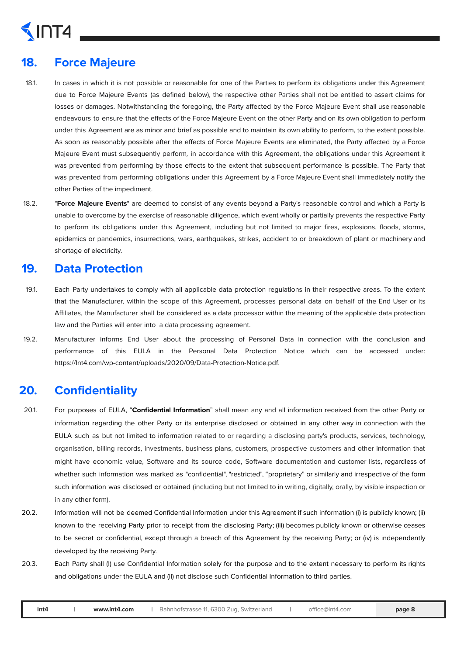# $\sqrt{\ln 14}$

### **18. Force Majeure**

- 18.1. In cases in which it is not possible or reasonable for one of the Parties to perform its obligations under this Agreement due to Force Majeure Events (as defined below), the respective other Parties shall not be entitled to assert claims for losses or damages. Notwithstanding the foregoing, the Party affected by the Force Majeure Event shall use reasonable endeavours to ensure that the effects of the Force Majeure Event on the other Party and on its own obligation to perform under this Agreement are as minor and brief as possible and to maintain its own ability to perform, to the extent possible. As soon as reasonably possible after the effects of Force Majeure Events are eliminated, the Party affected by a Force Majeure Event must subsequently perform, in accordance with this Agreement, the obligations under this Agreement it was prevented from performing by those effects to the extent that subsequent performance is possible. The Party that was prevented from performing obligations under this Agreement by a Force Majeure Event shall immediately notify the other Parties of the impediment.
- 18.2. "**Force Majeure Events**" are deemed to consist of any events beyond a Party's reasonable control and which a Party is unable to overcome by the exercise of reasonable diligence, which event wholly or partially prevents the respective Party to perform its obligations under this Agreement, including but not limited to major fires, explosions, floods, storms, epidemics or pandemics, insurrections, wars, earthquakes, strikes, accident to or breakdown of plant or machinery and shortage of electricity.

#### **19. Data Protection**

- 19.1. Each Party undertakes to comply with all applicable data protection regulations in their respective areas. To the extent that the Manufacturer, within the scope of this Agreement, processes personal data on behalf of the End User or its Affiliates, the Manufacturer shall be considered as a data processor within the meaning of the applicable data protection law and the Parties will enter into a data processing agreement.
- 19.2. Manufacturer informs End User about the processing of Personal Data in connection with the conclusion and performance of this EULA in the Personal Data Protection Notice which can be accessed under: [https://Int4.com/wp-content/uploads/2020/09/Data-Protection-Notice.pdf](https://int4.com/wp-content/uploads/2020/09/Data-Protection-Notice.pdf).

#### **20. Confidentiality**

- 20.1. For purposes of EULA, "**Confidential Information**" shall mean any and all information received from the other Party or information regarding the other Party or its enterprise disclosed or obtained in any other way in connection with the EULA such as but not limited to information related to or regarding a disclosing party's products, services, technology, organisation, billing records, investments, business plans, customers, prospective customers and other information that might have economic value, Software and its source code, Software documentation and customer lists, regardless of whether such information was marked as "confidential", "restricted", "proprietary" or similarly and irrespective of the form such information was disclosed or obtained (including but not limited to in writing, digitally, orally, by visible inspection or in any other form).
- 20.2. Information will not be deemed Confidential Information under this Agreement if such information (i) is publicly known; (ii) known to the receiving Party prior to receipt from the disclosing Party; (iii) becomes publicly known or otherwise ceases to be secret or confidential, except through a breach of this Agreement by the receiving Party; or (iv) is independently developed by the receiving Party.
- 20.3. Each Party shall (I) use Confidential Information solely for the purpose and to the extent necessary to perform its rights and obligations under the EULA and (ii) not disclose such Confidential Information to third parties.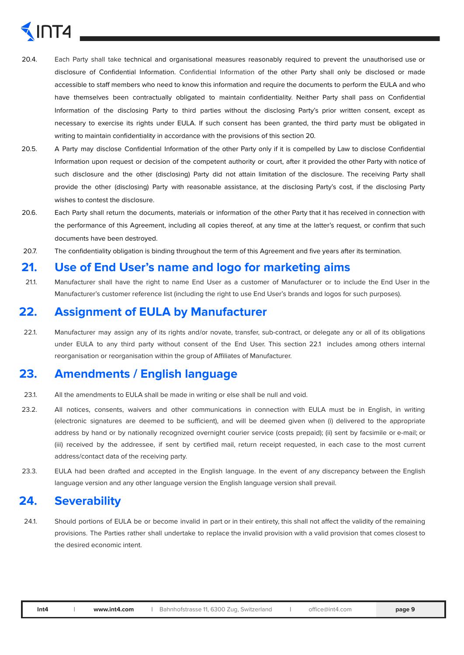# )T4

- 20.4. Each Party shall take technical and organisational measures reasonably required to prevent the unauthorised use or disclosure of Confidential Information. Confidential Information of the other Party shall only be disclosed or made accessible to staff members who need to know this information and require the documents to perform the EULA and who have themselves been contractually obligated to maintain confidentiality. Neither Party shall pass on Confidential Information of the disclosing Party to third parties without the disclosing Party's prior written consent, except as necessary to exercise its rights under EULA. If such consent has been granted, the third party must be obligated in writing to maintain confidentiality in accordance with the provisions of this section 20.
- 20.5. A Party may disclose Confidential Information of the other Party only if it is compelled by Law to disclose Confidential Information upon request or decision of the competent authority or court, after it provided the other Party with notice of such disclosure and the other (disclosing) Party did not attain limitation of the disclosure. The receiving Party shall provide the other (disclosing) Party with reasonable assistance, at the disclosing Party's cost, if the disclosing Party wishes to contest the disclosure.
- 20.6. Each Party shall return the documents, materials or information of the other Party that it has received in connection with the performance of this Agreement, including all copies thereof, at any time at the latter's request, or confirm that such documents have been destroyed.
- 20.7. The confidentiality obligation is binding throughout the term of this Agreement and five years after its termination.

#### **21. Use of End User's name and logo for marketing aims**

21.1. Manufacturer shall have the right to name End User as a customer of Manufacturer or to include the End User in the Manufacturer's customer reference list (including the right to use End User's brands and logos for such purposes).

#### **22. Assignment of EULA by Manufacturer**

22.1. Manufacturer may assign any of its rights and/or novate, transfer, sub-contract, or delegate any or all of its obligations under EULA to any third party without consent of the End User. This section 22.1 includes among others internal reorganisation or reorganisation within the group of Affiliates of Manufacturer.

#### **23. Amendments / English language**

- 23.1. All the amendments to EULA shall be made in writing or else shall be null and void.
- 23.2. All notices, consents, waivers and other communications in connection with EULA must be in English, in writing (electronic signatures are deemed to be sufficient), and will be deemed given when (i) delivered to the appropriate address by hand or by nationally recognized overnight courier service (costs prepaid); (ii) sent by facsimile or e-mail; or (iii) received by the addressee, if sent by certified mail, return receipt requested, in each case to the most current address/contact data of the receiving party.
- 23.3. EULA had been drafted and accepted in the English language. In the event of any discrepancy between the English language version and any other language version the English language version shall prevail.

#### **24. Severability**

24.1. Should portions of EULA be or become invalid in part or in their entirety, this shall not affect the validity of the remaining provisions. The Parties rather shall undertake to replace the invalid provision with a valid provision that comes closest to the desired economic intent.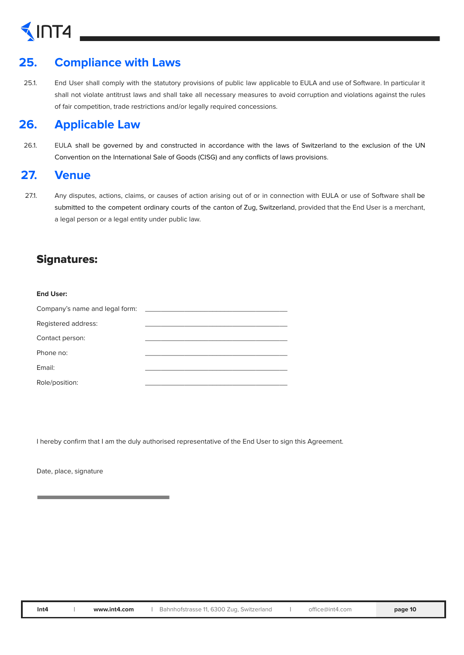# $\sqrt{\ln 14}$

### **25. Compliance with Laws**

25.1. End User shall comply with the statutory provisions of public law applicable to EULA and use of Software. In particular it shall not violate antitrust laws and shall take all necessary measures to avoid corruption and violations against the rules of fair competition, trade restrictions and/or legally required concessions.

#### **26. Applicable Law**

26.1. EULA shall be governed by and constructed in accordance with the laws of Switzerland to the exclusion of the UN Convention on the International Sale of Goods (CISG) and any conflicts of laws provisions.

#### **27. Venue**

27.1. Any disputes, actions, claims, or causes of action arising out of or in connection with EULA or use of Software shall be submitted to the competent ordinary courts of the canton of Zug, Switzerland, provided that the End User is a merchant, a legal person or a legal entity under public law.

#### Signatures:

| <b>End User:</b>               |  |
|--------------------------------|--|
| Company's name and legal form: |  |
| Registered address:            |  |
| Contact person:                |  |
| Phone no:                      |  |
| Email:                         |  |
| Role/position:                 |  |

I hereby confirm that I am the duly authorised representative of the End User to sign this Agreement.

Date, place, signature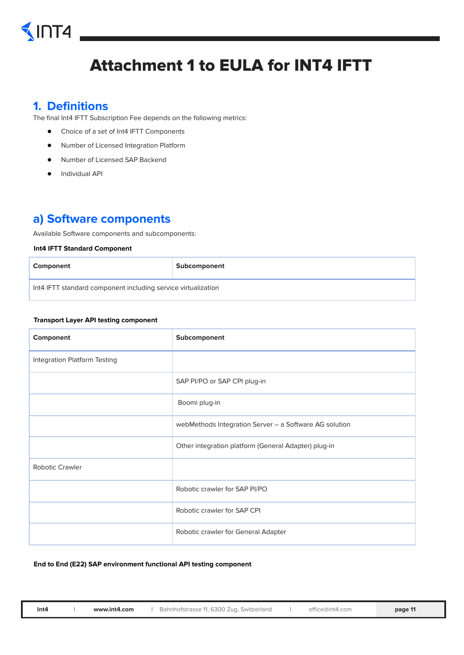# $\sqrt{\ln 14}$

## Attachment 1 to EULA for INT4 IFTT

#### **1. Definitions**

The final Int4 IFTT Subscription Fee depends on the following metrics:

- Choice of a set of Int4 IFTT Components
- Number of Licensed Integration Platform
- Number of Licensed SAP Backend
- Individual API

#### **a) Software components**

Available Software components and subcomponents:

#### **Int4 IFTT Standard Component**

| Component                                                     | Subcomponent |
|---------------------------------------------------------------|--------------|
| Int4 IFTT standard component including service virtualization |              |

#### **Transport Layer API testing component**

| Component                           | Subcomponent                                           |
|-------------------------------------|--------------------------------------------------------|
| <b>Integration Platform Testing</b> |                                                        |
|                                     | SAP PI/PO or SAP CPI plug-in                           |
|                                     | Boomi plug-in                                          |
|                                     | webMethods Integration Server - a Software AG solution |
|                                     | Other integration platform (General Adapter) plug-in   |
| <b>Robotic Crawler</b>              |                                                        |
|                                     | Robotic crawler for SAP PI/PO                          |
|                                     | Robotic crawler for SAP CPI                            |
|                                     | Robotic crawler for General Adapter                    |

#### **End to End (E22) SAP environment functional API testing component**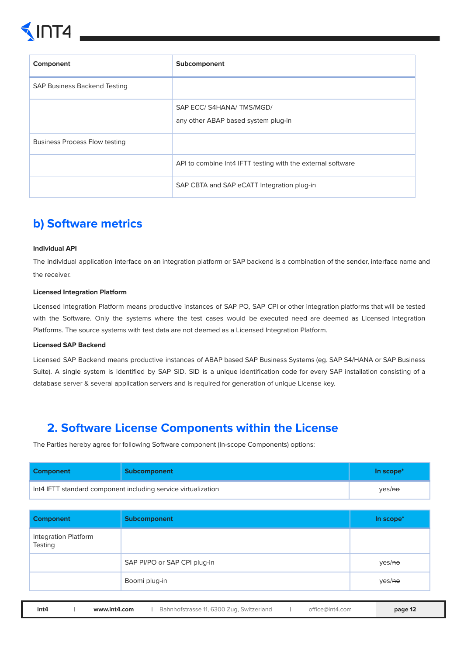

| Component                            | Subcomponent                                                   |
|--------------------------------------|----------------------------------------------------------------|
| <b>SAP Business Backend Testing</b>  |                                                                |
|                                      | SAP ECC/S4HANA/TMS/MGD/<br>any other ABAP based system plug-in |
| <b>Business Process Flow testing</b> |                                                                |
|                                      | API to combine Int4 IFTT testing with the external software    |
|                                      | SAP CBTA and SAP eCATT Integration plug-in                     |

#### **b) Software metrics**

#### **Individual API**

The individual application interface on an integration platform or SAP backend is a combination of the sender, interface name and the receiver.

#### **Licensed Integration Platform**

Licensed Integration Platform means productive instances of SAP PO, SAP CPI or other integration platforms that will be tested with the Software. Only the systems where the test cases would be executed need are deemed as Licensed Integration Platforms. The source systems with test data are not deemed as a Licensed Integration Platform.

#### **Licensed SAP Backend**

Licensed SAP Backend means productive instances of ABAP based SAP Business Systems (eg. SAP S4/HANA or SAP Business Suite). A single system is identified by SAP SID. SID is a unique identification code for every SAP installation consisting of a database server & several application servers and is required for generation of unique License key.

#### **2. Software License Components within the License**

The Parties hereby agree for following Software component (In-scope Components) options:

| <b>Component</b> | <b>Subcomponent</b>                                           | In scope <sup>*</sup> |
|------------------|---------------------------------------------------------------|-----------------------|
|                  | Int4 IFTT standard component including service virtualization | Yes/He                |

| <b>Subcomponent</b>          | In scope*          |
|------------------------------|--------------------|
|                              |                    |
| SAP PI/PO or SAP CPI plug-in | yes/ <del>no</del> |
| Boomi plug-in                | yes/ <del>no</del> |
|                              |                    |

**Int4 | [www.int4.com](http://www.int4.com) |** Bahnhofstrasse 11, 6300 Zug, Switzerland **|** [office@int4.com](mailto:office@int4.com) **page 12**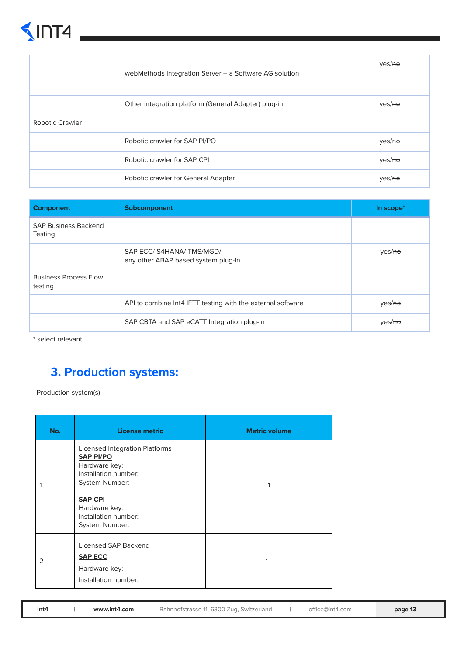# $\n <sup>1</sup>MT4$

|                        | webMethods Integration Server - a Software AG solution | yes/ <del>no</del> |
|------------------------|--------------------------------------------------------|--------------------|
|                        | Other integration platform (General Adapter) plug-in   | yes/ <del>no</del> |
| <b>Robotic Crawler</b> |                                                        |                    |
|                        | Robotic crawler for SAP PI/PO                          | yes/ <del>no</del> |
|                        | Robotic crawler for SAP CPI                            | yes/ <del>no</del> |
|                        | Robotic crawler for General Adapter                    | yes/ <del>no</del> |

| <b>Component</b>                              | Subcomponent                                                   | In scope*          |
|-----------------------------------------------|----------------------------------------------------------------|--------------------|
| <b>SAP Business Backend</b><br><b>Testing</b> |                                                                |                    |
|                                               | SAP ECC/S4HANA/TMS/MGD/<br>any other ABAP based system plug-in | yes/ <del>no</del> |
| <b>Business Process Flow</b><br>testing       |                                                                |                    |
|                                               | API to combine Int4 IFTT testing with the external software    | yes/ <del>no</del> |
|                                               | SAP CBTA and SAP eCATT Integration plug-in                     | yes/ <del>no</del> |

\* select relevant

### **3. Production systems:**

Production system(s)

| No. | <b>License metric</b>                                                                                                                                                                             | <b>Metric volume</b> |
|-----|---------------------------------------------------------------------------------------------------------------------------------------------------------------------------------------------------|----------------------|
|     | <b>Licensed Integration Platforms</b><br><b>SAP PI/PO</b><br>Hardware key:<br>Installation number:<br>System Number:<br><b>SAP CPI</b><br>Hardware key:<br>Installation number:<br>System Number: |                      |
| 2   | Licensed SAP Backend<br><b>SAP ECC</b><br>Hardware key:<br>Installation number:                                                                                                                   | 1                    |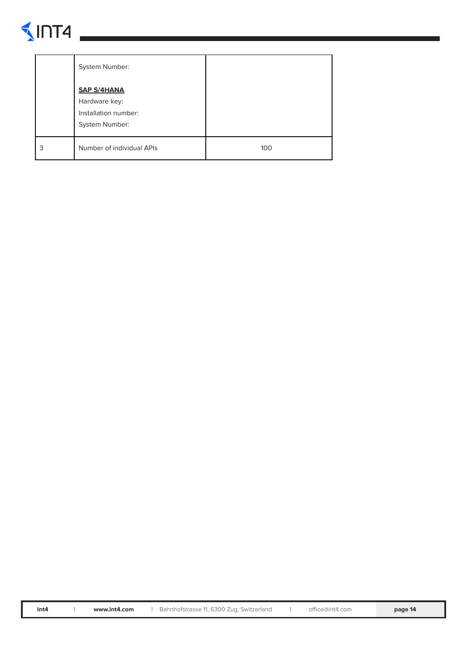# $\n <sup>1</sup>\n <sup>1</sup>\n <sup>1</sup>\n$

|   | System Number:                                                                |     |
|---|-------------------------------------------------------------------------------|-----|
|   | <b>SAP S/4HANA</b><br>Hardware key:<br>Installation number:<br>System Number: |     |
| 3 | Number of individual APIs                                                     | 100 |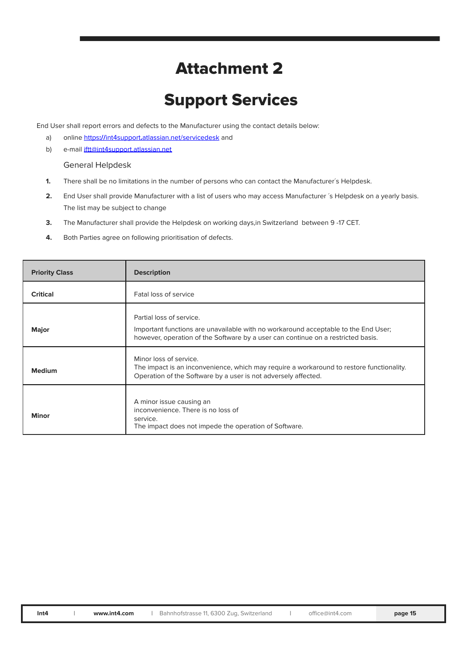### Attachment 2

## Support Services

End User shall report errors and defects to the Manufacturer using the contact details below:

- a) online https**://**int4support**.**[atlassian.net/servicedesk](https://int4support.atlassian.net/servicedesk) and
- b) e-mail [iftt@int4support.atlassian.net](mailto:iftt@int4support.atlassian.net)

#### General Helpdesk

- **1.** There shall be no limitations in the number of persons who can contact the Manufacturer's Helpdesk.
- **2.** End User shall provide Manufacturer with a list of users who may access Manufacturer ´s Helpdesk on a yearly basis. The list may be subject to change
- **3.** The Manufacturer shall provide the Helpdesk on working days,in Switzerland between 9 -17 CET.
- **4.** Both Parties agree on following prioritisation of defects.

| <b>Priority Class</b> | <b>Description</b>                                                                                                                                                                                 |
|-----------------------|----------------------------------------------------------------------------------------------------------------------------------------------------------------------------------------------------|
| <b>Critical</b>       | Fatal loss of service                                                                                                                                                                              |
| <b>Major</b>          | Partial loss of service.<br>Important functions are unavailable with no workaround acceptable to the End User;<br>however, operation of the Software by a user can continue on a restricted basis. |
| <b>Medium</b>         | Minor loss of service.<br>The impact is an inconvenience, which may require a workaround to restore functionality.<br>Operation of the Software by a user is not adversely affected.               |
| <b>Minor</b>          | A minor issue causing an<br>inconvenience. There is no loss of<br>service.<br>The impact does not impede the operation of Software.                                                                |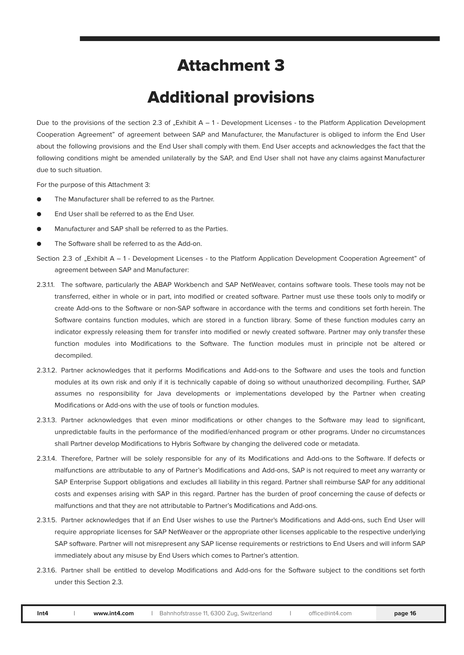### Attachment 3

### Additional provisions

Due to the provisions of the section 2.3 of "Exhibit  $A - 1$  - Development Licenses - to the Platform Application Development Cooperation Agreement" of agreement between SAP and Manufacturer, the Manufacturer is obliged to inform the End User about the following provisions and the End User shall comply with them. End User accepts and acknowledges the fact that the following conditions might be amended unilaterally by the SAP, and End User shall not have any claims against Manufacturer due to such situation.

For the purpose of this Attachment 3:

- The Manufacturer shall be referred to as the Partner.
- End User shall be referred to as the End User.
- Manufacturer and SAP shall be referred to as the Parties.
- The Software shall be referred to as the Add-on.
- Section 2.3 of "Exhibit A 1 Development Licenses to the Platform Application Development Cooperation Agreement" of agreement between SAP and Manufacturer:
- 2.3.1.1. The software, particularly the ABAP Workbench and SAP NetWeaver, contains software tools. These tools may not be transferred, either in whole or in part, into modified or created software. Partner must use these tools only to modify or create Add-ons to the Software or non-SAP software in accordance with the terms and conditions set forth herein. The Software contains function modules, which are stored in a function library. Some of these function modules carry an indicator expressly releasing them for transfer into modified or newly created software. Partner may only transfer these function modules into Modifications to the Software. The function modules must in principle not be altered or decompiled.
- 2.3.1.2. Partner acknowledges that it performs Modifications and Add-ons to the Software and uses the tools and function modules at its own risk and only if it is technically capable of doing so without unauthorized decompiling. Further, SAP assumes no responsibility for Java developments or implementations developed by the Partner when creating Modifications or Add-ons with the use of tools or function modules.
- 2.3.1.3. Partner acknowledges that even minor modifications or other changes to the Software may lead to significant, unpredictable faults in the performance of the modified/enhanced program or other programs. Under no circumstances shall Partner develop Modifications to Hybris Software by changing the delivered code or metadata.
- 2.3.1.4. Therefore, Partner will be solely responsible for any of its Modifications and Add-ons to the Software. If defects or malfunctions are attributable to any of Partner's Modifications and Add-ons, SAP is not required to meet any warranty or SAP Enterprise Support obligations and excludes all liability in this regard. Partner shall reimburse SAP for any additional costs and expenses arising with SAP in this regard. Partner has the burden of proof concerning the cause of defects or malfunctions and that they are not attributable to Partner's Modifications and Add-ons.
- 2.3.1.5. Partner acknowledges that if an End User wishes to use the Partner's Modifications and Add-ons, such End User will require appropriate licenses for SAP NetWeaver or the appropriate other licenses applicable to the respective underlying SAP software. Partner will not misrepresent any SAP license requirements or restrictions to End Users and will inform SAP immediately about any misuse by End Users which comes to Partner's attention.
- 2.3.1.6. Partner shall be entitled to develop Modifications and Add-ons for the Software subject to the conditions set forth under this Section 2.3.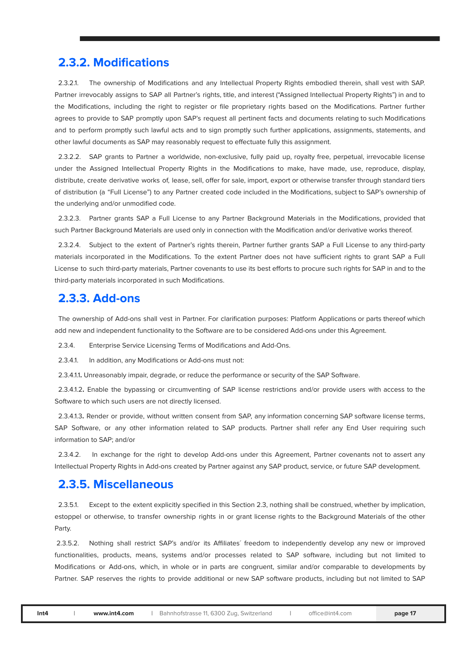#### **2.3.2. Modifications**

2.3.2.1. The ownership of Modifications and any Intellectual Property Rights embodied therein, shall vest with SAP. Partner irrevocably assigns to SAP all Partner's rights, title, and interest ("Assigned Intellectual Property Rights") in and to the Modifications, including the right to register or file proprietary rights based on the Modifications. Partner further agrees to provide to SAP promptly upon SAP's request all pertinent facts and documents relating to such Modifications and to perform promptly such lawful acts and to sign promptly such further applications, assignments, statements, and other lawful documents as SAP may reasonably request to effectuate fully this assignment.

2.3.2.2. SAP grants to Partner a worldwide, non-exclusive, fully paid up, royalty free, perpetual, irrevocable license under the Assigned Intellectual Property Rights in the Modifications to make, have made, use, reproduce, display, distribute, create derivative works of, lease, sell, offer for sale, import, export or otherwise transfer through standard tiers of distribution (a "Full License") to any Partner created code included in the Modifications, subject to SAP's ownership of the underlying and/or unmodified code.

2.3.2.3. Partner grants SAP a Full License to any Partner Background Materials in the Modifications, provided that such Partner Background Materials are used only in connection with the Modification and/or derivative works thereof.

2.3.2.4. Subject to the extent of Partner's rights therein, Partner further grants SAP a Full License to any third-party materials incorporated in the Modifications. To the extent Partner does not have sufficient rights to grant SAP a Full License to such third-party materials, Partner covenants to use its best efforts to procure such rights for SAP in and to the third-party materials incorporated in such Modifications.

#### **2.3.3. Add-ons**

The ownership of Add-ons shall vest in Partner. For clarification purposes: Platform Applications or parts thereof which add new and independent functionality to the Software are to be considered Add-ons under this Agreement.

2.3.4. Enterprise Service Licensing Terms of Modifications and Add-Ons.

2.3.4.1. In addition, any Modifications or Add-ons must not:

2.3.4.1.1**.** Unreasonably impair, degrade, or reduce the performance or security of the SAP Software.

2.3.4.1.2**.** Enable the bypassing or circumventing of SAP license restrictions and/or provide users with access to the Software to which such users are not directly licensed.

2.3.4.1.3**.** Render or provide, without written consent from SAP, any information concerning SAP software license terms, SAP Software, or any other information related to SAP products. Partner shall refer any End User requiring such information to SAP; and/or

2.3.4.2. In exchange for the right to develop Add-ons under this Agreement, Partner covenants not to assert any Intellectual Property Rights in Add-ons created by Partner against any SAP product, service, or future SAP development.

#### **2.3.5. Miscellaneous**

2.3.5.1. Except to the extent explicitly specified in this Section 2.3, nothing shall be construed, whether by implication, estoppel or otherwise, to transfer ownership rights in or grant license rights to the Background Materials of the other Party.

2.3.5.2. Nothing shall restrict SAP's and/or its Affiliates´ freedom to independently develop any new or improved functionalities, products, means, systems and/or processes related to SAP software, including but not limited to Modifications or Add-ons, which, in whole or in parts are congruent, similar and/or comparable to developments by Partner. SAP reserves the rights to provide additional or new SAP software products, including but not limited to SAP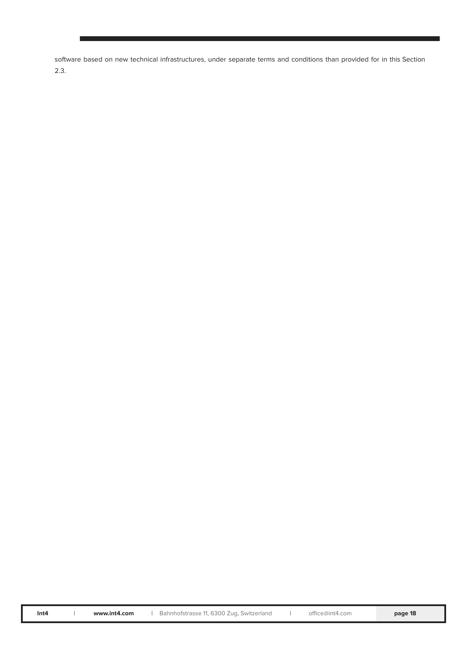software based on new technical infrastructures, under separate terms and conditions than provided for in this Section 2.3.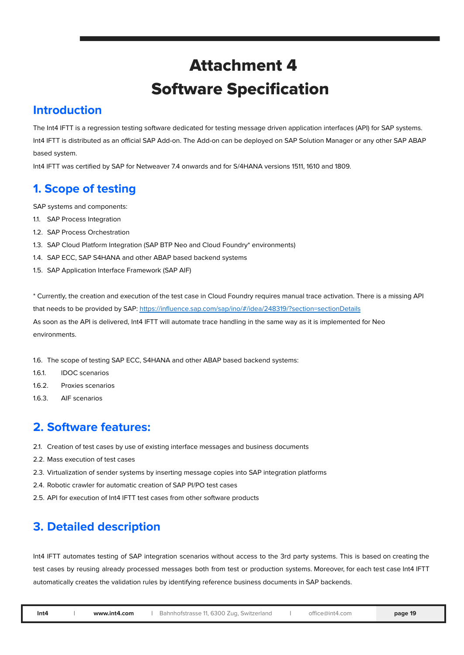## Attachment 4 Software Specification

#### **Introduction**

The Int4 IFTT is a regression testing software dedicated for testing message driven application interfaces (API) for SAP systems. Int4 IFTT is distributed as an official SAP Add-on. The Add-on can be deployed on SAP Solution Manager or any other SAP ABAP based system.

Int4 IFTT was certified by SAP for Netweaver 7.4 onwards and for S/4HANA versions 1511, 1610 and 1809.

### **1. Scope of testing**

SAP systems and components:

- 1.1. SAP Process Integration
- 1.2. SAP Process Orchestration
- 1.3. SAP Cloud Platform Integration (SAP BTP Neo and Cloud Foundry\* environments)
- 1.4. SAP ECC, SAP S4HANA and other ABAP based backend systems
- 1.5. SAP Application Interface Framework (SAP AIF)

\* Currently, the creation and execution of the test case in Cloud Foundry requires manual trace activation. There is a missing API that needs to be provided by SAP: <https://influence.sap.com/sap/ino/#/idea/248319/?section=sectionDetails> As soon as the API is delivered, Int4 IFTT will automate trace handling in the same way as it is implemented for Neo environments.

1.6. The scope of testing SAP ECC, S4HANA and other ABAP based backend systems:

- 1.6.1. IDOC scenarios
- 1.6.2. Proxies scenarios
- 1.6.3. AIF scenarios

#### **2. Software features:**

- 2.1. Creation of test cases by use of existing interface messages and business documents
- 2.2. Mass execution of test cases
- 2.3. Virtualization of sender systems by inserting message copies into SAP integration platforms
- 2.4. Robotic crawler for automatic creation of SAP PI/PO test cases
- 2.5. API for execution of Int4 IFTT test cases from other software products

### **3. Detailed description**

Int4 IFTT automates testing of SAP integration scenarios without access to the 3rd party systems. This is based on creating the test cases by reusing already processed messages both from test or production systems. Moreover, for each test case Int4 IFTT automatically creates the validation rules by identifying reference business documents in SAP backends.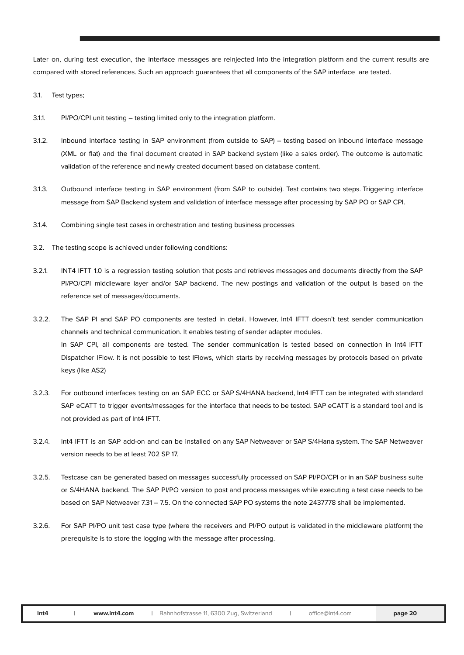Later on, during test execution, the interface messages are reinjected into the integration platform and the current results are compared with stored references. Such an approach guarantees that all components of the SAP interface are tested.

- 3.1. Test types;
- 3.1.1. PI/PO/CPI unit testing testing limited only to the integration platform.
- 3.1.2. Inbound interface testing in SAP environment (from outside to SAP) testing based on inbound interface message (XML or flat) and the final document created in SAP backend system (like a sales order). The outcome is automatic validation of the reference and newly created document based on database content.
- 3.1.3. Outbound interface testing in SAP environment (from SAP to outside). Test contains two steps. Triggering interface message from SAP Backend system and validation of interface message after processing by SAP PO or SAP CPI.
- 3.1.4. Combining single test cases in orchestration and testing business processes
- 3.2. The testing scope is achieved under following conditions:
- 3.2.1. INT4 IFTT 1.0 is a regression testing solution that posts and retrieves messages and documents directly from the SAP PI/PO/CPI middleware layer and/or SAP backend. The new postings and validation of the output is based on the reference set of messages/documents.
- 3.2.2. The SAP PI and SAP PO components are tested in detail. However, Int4 IFTT doesn't test sender communication channels and technical communication. It enables testing of sender adapter modules. In SAP CPI, all components are tested. The sender communication is tested based on connection in Int4 IFTT Dispatcher IFlow. It is not possible to test IFlows, which starts by receiving messages by protocols based on private keys (like AS2)
- 3.2.3. For outbound interfaces testing on an SAP ECC or SAP S/4HANA backend, Int4 IFTT can be integrated with standard SAP eCATT to trigger events/messages for the interface that needs to be tested. SAP eCATT is a standard tool and is not provided as part of Int4 IFTT.
- 3.2.4. Int4 IFTT is an SAP add-on and can be installed on any SAP Netweaver or SAP S/4Hana system. The SAP Netweaver version needs to be at least 702 SP 17.
- 3.2.5. Testcase can be generated based on messages successfully processed on SAP PI/PO/CPI or in an SAP business suite or S/4HANA backend. The SAP PI/PO version to post and process messages while executing a test case needs to be based on SAP Netweaver 7.31 – 7.5. On the connected SAP PO systems the note 2437778 shall be implemented.
- 3.2.6. For SAP PI/PO unit test case type (where the receivers and PI/PO output is validated in the middleware platform) the prerequisite is to store the logging with the message after processing.